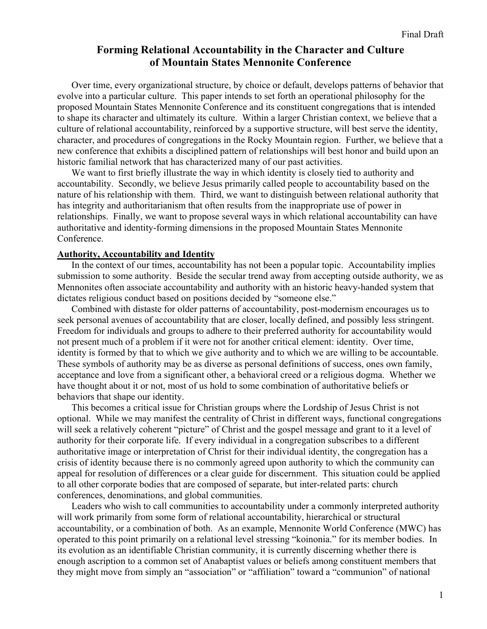# **Forming Relational Accountability in the Character and Culture of Mountain States Mennonite Conference**

Over time, every organizational structure, by choice or default, develops patterns of behavior that evolve into a particular culture. This paper intends to set forth an operational philosophy for the proposed Mountain States Mennonite Conference and its constituent congregations that is intended to shape its character and ultimately its culture. Within a larger Christian context, we believe that a culture of relational accountability, reinforced by a supportive structure, will best serve the identity, character, and procedures of congregations in the Rocky Mountain region. Further, we believe that a new conference that exhibits a disciplined pattern of relationships will best honor and build upon an historic familial network that has characterized many of our past activities.

We want to first briefly illustrate the way in which identity is closely tied to authority and accountability. Secondly, we believe Jesus primarily called people to accountability based on the nature of his relationship with them. Third, we want to distinguish between relational authority that has integrity and authoritarianism that often results from the inappropriate use of power in relationships. Finally, we want to propose several ways in which relational accountability can have authoritative and identity-forming dimensions in the proposed Mountain States Mennonite Conference.

### **Authority, Accountability and Identity**

In the context of our times, accountability has not been a popular topic. Accountability implies submission to some authority. Beside the secular trend away from accepting outside authority, we as Mennonites often associate accountability and authority with an historic heavy-handed system that dictates religious conduct based on positions decided by "someone else."

Combined with distaste for older patterns of accountability, post-modernism encourages us to seek personal avenues of accountability that are closer, locally defined, and possibly less stringent. Freedom for individuals and groups to adhere to their preferred authority for accountability would not present much of a problem if it were not for another critical element: identity. Over time, identity is formed by that to which we give authority and to which we are willing to be accountable. These symbols of authority may be as diverse as personal definitions of success, ones own family, acceptance and love from a significant other, a behavioral creed or a religious dogma. Whether we have thought about it or not, most of us hold to some combination of authoritative beliefs or behaviors that shape our identity.

This becomes a critical issue for Christian groups where the Lordship of Jesus Christ is not optional. While we may manifest the centrality of Christ in different ways, functional congregations will seek a relatively coherent "picture" of Christ and the gospel message and grant to it a level of authority for their corporate life. If every individual in a congregation subscribes to a different authoritative image or interpretation of Christ for their individual identity, the congregation has a crisis of identity because there is no commonly agreed upon authority to which the community can appeal for resolution of differences or a clear guide for discernment. This situation could be applied to all other corporate bodies that are composed of separate, but inter-related parts: church conferences, denominations, and global communities.

Leaders who wish to call communities to accountability under a commonly interpreted authority will work primarily from some form of relational accountability, hierarchical or structural accountability, or a combination of both. As an example, Mennonite World Conference (MWC) has operated to this point primarily on a relational level stressing "koinonia." for its member bodies. In its evolution as an identifiable Christian community, it is currently discerning whether there is enough ascription to a common set of Anabaptist values or beliefs among constituent members that they might move from simply an "association" or "affiliation" toward a "communion" of national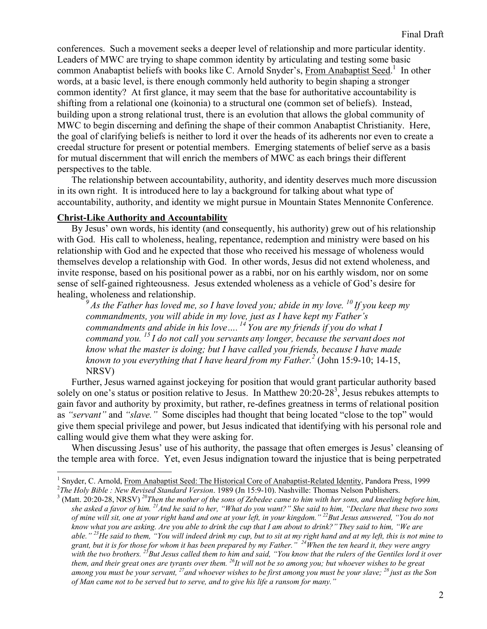conferences. Such a movement seeks a deeper level of relationship and more particular identity. Leaders of MWC are trying to shape common identity by articulating and testing some basic common Anabaptist beliefs with books like C. Arnold Snyder's, From Anabaptist Seed.<sup>1</sup> In other words, at a basic level, is there enough commonly held authority to begin shaping a stronger common identity? At first glance, it may seem that the base for authoritative accountability is shifting from a relational one (koinonia) to a structural one (common set of beliefs). Instead, building upon a strong relational trust, there is an evolution that allows the global community of MWC to begin discerning and defining the shape of their common Anabaptist Christianity. Here, the goal of clarifying beliefs is neither to lord it over the heads of its adherents nor even to create a creedal structure for present or potential members. Emerging statements of belief serve as a basis for mutual discernment that will enrich the members of MWC as each brings their different perspectives to the table.

The relationship between accountability, authority, and identity deserves much more discussion in its own right. It is introduced here to lay a background for talking about what type of accountability, authority, and identity we might pursue in Mountain States Mennonite Conference.

## **Christ-Like Authority and Accountability**

 $\overline{a}$ 

By Jesus' own words, his identity (and consequently, his authority) grew out of his relationship with God. His call to wholeness, healing, repentance, redemption and ministry were based on his relationship with God and he expected that those who received his message of wholeness would themselves develop a relationship with God. In other words, Jesus did not extend wholeness, and invite response, based on his positional power as a rabbi, nor on his earthly wisdom, nor on some sense of self-gained righteousness. Jesus extended wholeness as a vehicle of God's desire for healing, wholeness and relationship.

 $9^9$  As the Father has loved me, so I have loved you; abide in my love.  $^{10}$  If you keep my *commandments, you will abide in my love, just as I have kept my Father's commandments and abide in his love…. 14 You are my friends if you do what I command you. 15 I do not call you servants any longer, because the servant does not know what the master is doing; but I have called you friends, because I have made*  known to you everything that I have heard from my Father.<sup>2</sup> (John 15:9-10; 14-15, NRSV)

Further, Jesus warned against jockeying for position that would grant particular authority based solely on one's status or position relative to Jesus. In Matthew  $20:20-28^3$ , Jesus rebukes attempts to gain favor and authority by proximity, but rather, re-defines greatness in terms of relational position as *"servant"* and *"slave."* Some disciples had thought that being located "close to the top" would give them special privilege and power, but Jesus indicated that identifying with his personal role and calling would give them what they were asking for.

When discussing Jesus' use of his authority, the passage that often emerges is Jesus' cleansing of the temple area with force. Yet, even Jesus indignation toward the injustice that is being perpetrated

<sup>&</sup>lt;sup>1</sup> Snyder, C. Arnold, <u>From Anabaptist Seed: The Historical Core of Anabaptist-Related Identity</u>, Pandora Press, 1999<br><sup>2</sup>The Holy Rikle : Naw Ravised Standard Vargion, 1989 (Jp. 15:0, 10) Neghville: Thomas Nelson Bublish

<sup>&</sup>lt;sup>2</sup>The Holy Bible : New Revised Standard Version. 1989 (Jn 15:9-10). Nashville: Thomas Nelson Publishers.<br><sup>3</sup> (Matt. 20:20-28, NRSV) <sup>20</sup>Then the mother of the sons of Zebedee came to him with her sons, and kneeling befor *she asked a favor of him. 21And he said to her, "What do you want?" She said to him, "Declare that these two sons of mine will sit, one at your right hand and one at your left, in your kingdom." 22But Jesus answered, "You do not know what you are asking. Are you able to drink the cup that I am about to drink?" They said to him, "We are able." 23He said to them, "You will indeed drink my cup, but to sit at my right hand and at my left, this is not mine to grant, but it is for those for whom it has been prepared by my Father." 24When the ten heard it, they were angry with the two brothers. 25But Jesus called them to him and said, "You know that the rulers of the Gentiles lord it over them, and their great ones are tyrants over them. 26It will not be so among you; but whoever wishes to be great among you must be your servant, 27and whoever wishes to be first among you must be your slave; 28 just as the Son of Man came not to be served but to serve, and to give his life a ransom for many."*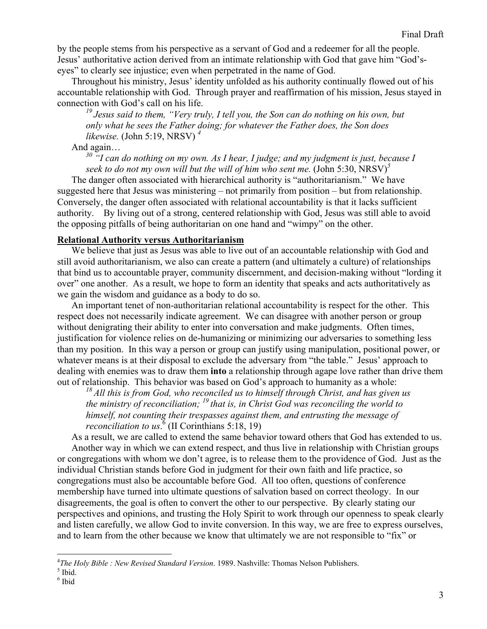by the people stems from his perspective as a servant of God and a redeemer for all the people. Jesus' authoritative action derived from an intimate relationship with God that gave him "God'seyes" to clearly see injustice; even when perpetrated in the name of God.

Throughout his ministry, Jesus' identity unfolded as his authority continually flowed out of his accountable relationship with God. Through prayer and reaffirmation of his mission, Jesus stayed in connection with God's call on his life.

*19 Jesus said to them, "Very truly, I tell you, the Son can do nothing on his own, but only what he sees the Father doing; for whatever the Father does, the Son does likewise.* (John 5:19, NRSV) *<sup>4</sup>* 

And again…

*30 "I can do nothing on my own. As I hear, I judge; and my judgment is just, because I seek to do not my own will but the will of him who sent me.* (John 5:30, NRSV)*<sup>5</sup>*

The danger often associated with hierarchical authority is "authoritarianism." We have suggested here that Jesus was ministering – not primarily from position – but from relationship. Conversely, the danger often associated with relational accountability is that it lacks sufficient authority. By living out of a strong, centered relationship with God, Jesus was still able to avoid the opposing pitfalls of being authoritarian on one hand and "wimpy" on the other.

### **Relational Authority versus Authoritarianism**

We believe that just as Jesus was able to live out of an accountable relationship with God and still avoid authoritarianism, we also can create a pattern (and ultimately a culture) of relationships that bind us to accountable prayer, community discernment, and decision-making without "lording it over" one another. As a result, we hope to form an identity that speaks and acts authoritatively as we gain the wisdom and guidance as a body to do so.

An important tenet of non-authoritarian relational accountability is respect for the other. This respect does not necessarily indicate agreement. We can disagree with another person or group without denigrating their ability to enter into conversation and make judgments. Often times, justification for violence relies on de-humanizing or minimizing our adversaries to something less than my position. In this way a person or group can justify using manipulation, positional power, or whatever means is at their disposal to exclude the adversary from "the table." Jesus' approach to dealing with enemies was to draw them **into** a relationship through agape love rather than drive them out of relationship. This behavior was based on God's approach to humanity as a whole:

*18 All this is from God, who reconciled us to himself through Christ, and has given us the ministry of reconciliation; 19 that is, in Christ God was reconciling the world to himself, not counting their trespasses against them, and entrusting the message of reconciliation to us*. 6 (II Corinthians 5:18, 19)

As a result, we are called to extend the same behavior toward others that God has extended to us. Another way in which we can extend respect, and thus live in relationship with Christian groups

or congregations with whom we don't agree, is to release them to the providence of God. Just as the individual Christian stands before God in judgment for their own faith and life practice, so congregations must also be accountable before God. All too often, questions of conference membership have turned into ultimate questions of salvation based on correct theology. In our disagreements, the goal is often to convert the other to our perspective. By clearly stating our perspectives and opinions, and trusting the Holy Spirit to work through our openness to speak clearly and listen carefully, we allow God to invite conversion. In this way, we are free to express ourselves, and to learn from the other because we know that ultimately we are not responsible to "fix" or

 $\overline{a}$ 

<sup>&</sup>lt;sup>4</sup>The Holy Bible : New Revised Standard Version. 1989. Nashville: Thomas Nelson Publishers.<br><sup>5</sup> Ibid

 $<sup>5</sup>$  Ibid.</sup>

<sup>6</sup> Ibid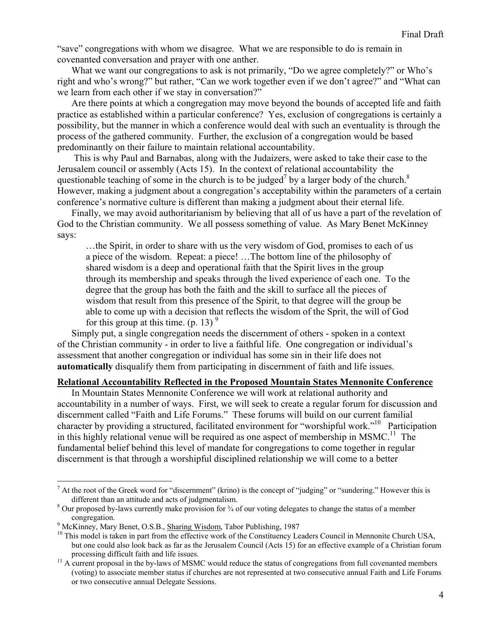"save" congregations with whom we disagree. What we are responsible to do is remain in covenanted conversation and prayer with one anther.

What we want our congregations to ask is not primarily, "Do we agree completely?" or Who's right and who's wrong?" but rather, "Can we work together even if we don't agree?" and "What can we learn from each other if we stay in conversation?"

Are there points at which a congregation may move beyond the bounds of accepted life and faith practice as established within a particular conference? Yes, exclusion of congregations is certainly a possibility, but the manner in which a conference would deal with such an eventuality is through the process of the gathered community. Further, the exclusion of a congregation would be based predominantly on their failure to maintain relational accountability.

 This is why Paul and Barnabas, along with the Judaizers, were asked to take their case to the Jerusalem council or assembly (Acts 15). In the context of relational accountability the questionable teaching of some in the church is to be judged<sup>7</sup> by a larger body of the church.<sup>8</sup> However, making a judgment about a congregation's acceptability within the parameters of a certain conference's normative culture is different than making a judgment about their eternal life.

Finally, we may avoid authoritarianism by believing that all of us have a part of the revelation of God to the Christian community. We all possess something of value. As Mary Benet McKinney says:

…the Spirit, in order to share with us the very wisdom of God, promises to each of us a piece of the wisdom. Repeat: a piece! …The bottom line of the philosophy of shared wisdom is a deep and operational faith that the Spirit lives in the group through its membership and speaks through the lived experience of each one. To the degree that the group has both the faith and the skill to surface all the pieces of wisdom that result from this presence of the Spirit, to that degree will the group be able to come up with a decision that reflects the wisdom of the Sprit, the will of God for this group at this time. (p. 13)  $9^{\circ}$ 

Simply put, a single congregation needs the discernment of others - spoken in a context of the Christian community - in order to live a faithful life. One congregation or individual's assessment that another congregation or individual has some sin in their life does not **automatically** disqualify them from participating in discernment of faith and life issues.

### **Relational Accountability Reflected in the Proposed Mountain States Mennonite Conference**

In Mountain States Mennonite Conference we will work at relational authority and accountability in a number of ways. First, we will seek to create a regular forum for discussion and discernment called "Faith and Life Forums." These forums will build on our current familial character by providing a structured, facilitated environment for "worshipful work."<sup>10</sup> Participation in this highly relational venue will be required as one aspect of membership in MSMC.<sup>11</sup> The fundamental belief behind this level of mandate for congregations to come together in regular discernment is that through a worshipful disciplined relationship we will come to a better

1

 $<sup>7</sup>$  At the root of the Greek word for "discernment" (krino) is the concept of "judging" or "sundering." However this is</sup> different than an attitude and acts of judgmentalism.

<sup>&</sup>lt;sup>8</sup> Our proposed by-laws currently make provision for <sup>3</sup>/<sub>4</sub> of our voting delegates to change the status of a member

congregation.<br><sup>9</sup> McKinney, Mary Benet, O.S.B., **Sharing Wisdom**, Tabor Publishing, 1987

 $^{10}$  This model is taken in part from the effective work of the Constituency Leaders Council in Mennonite Church USA, but one could also look back as far as the Jerusalem Council (Acts 15) for an effective example of a Christian forum processing difficult faith and life issues.<br><sup>11</sup> A current proposal in the by-laws of MSMC would reduce the status of congregations from full covenanted members

<sup>(</sup>voting) to associate member status if churches are not represented at two consecutive annual Faith and Life Forums or two consecutive annual Delegate Sessions.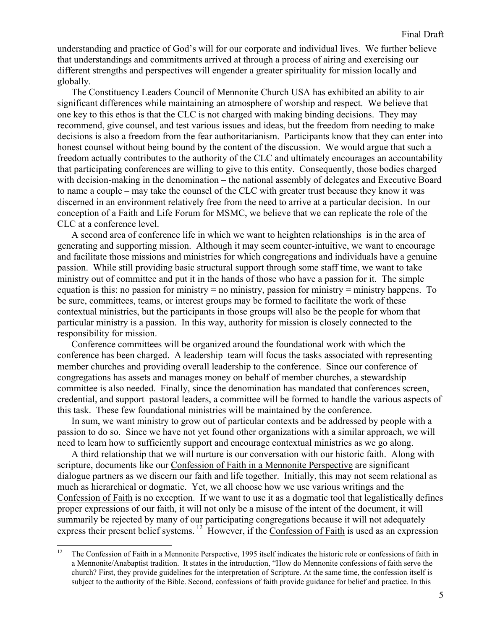understanding and practice of God's will for our corporate and individual lives. We further believe that understandings and commitments arrived at through a process of airing and exercising our different strengths and perspectives will engender a greater spirituality for mission locally and globally.

The Constituency Leaders Council of Mennonite Church USA has exhibited an ability to air significant differences while maintaining an atmosphere of worship and respect. We believe that one key to this ethos is that the CLC is not charged with making binding decisions. They may recommend, give counsel, and test various issues and ideas, but the freedom from needing to make decisions is also a freedom from the fear authoritarianism. Participants know that they can enter into honest counsel without being bound by the content of the discussion. We would argue that such a freedom actually contributes to the authority of the CLC and ultimately encourages an accountability that participating conferences are willing to give to this entity. Consequently, those bodies charged with decision-making in the denomination – the national assembly of delegates and Executive Board to name a couple – may take the counsel of the CLC with greater trust because they know it was discerned in an environment relatively free from the need to arrive at a particular decision. In our conception of a Faith and Life Forum for MSMC, we believe that we can replicate the role of the CLC at a conference level.

A second area of conference life in which we want to heighten relationships is in the area of generating and supporting mission. Although it may seem counter-intuitive, we want to encourage and facilitate those missions and ministries for which congregations and individuals have a genuine passion. While still providing basic structural support through some staff time, we want to take ministry out of committee and put it in the hands of those who have a passion for it. The simple equation is this: no passion for ministry = no ministry, passion for ministry = ministry happens. To be sure, committees, teams, or interest groups may be formed to facilitate the work of these contextual ministries, but the participants in those groups will also be the people for whom that particular ministry is a passion. In this way, authority for mission is closely connected to the responsibility for mission.

Conference committees will be organized around the foundational work with which the conference has been charged. A leadership team will focus the tasks associated with representing member churches and providing overall leadership to the conference. Since our conference of congregations has assets and manages money on behalf of member churches, a stewardship committee is also needed. Finally, since the denomination has mandated that conferences screen, credential, and support pastoral leaders, a committee will be formed to handle the various aspects of this task. These few foundational ministries will be maintained by the conference.

In sum, we want ministry to grow out of particular contexts and be addressed by people with a passion to do so. Since we have not yet found other organizations with a similar approach, we will need to learn how to sufficiently support and encourage contextual ministries as we go along.

A third relationship that we will nurture is our conversation with our historic faith. Along with scripture, documents like our Confession of Faith in a Mennonite Perspective are significant dialogue partners as we discern our faith and life together. Initially, this may not seem relational as much as hierarchical or dogmatic. Yet, we all choose how we use various writings and the Confession of Faith is no exception. If we want to use it as a dogmatic tool that legalistically defines proper expressions of our faith, it will not only be a misuse of the intent of the document, it will summarily be rejected by many of our participating congregations because it will not adequately express their present belief systems. 12 However, if the Confession of Faith is used as an expression

 $12\,$ The Confession of Faith in a Mennonite Perspective, 1995 itself indicates the historic role or confessions of faith in a Mennonite/Anabaptist tradition. It states in the introduction, "How do Mennonite confessions of faith serve the church? First, they provide guidelines for the interpretation of Scripture. At the same time, the confession itself is subject to the authority of the Bible. Second, confessions of faith provide guidance for belief and practice. In this